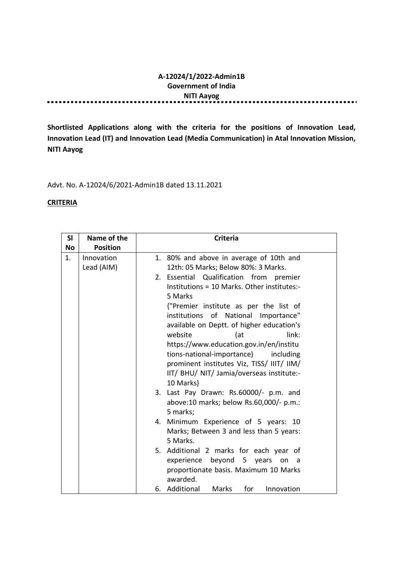#### A-12024/1/2022-Admin1B Government of India NITI Aayog ............... . . . . . . . .

.......

Shortlisted Applications along with the criteria for the positions of Innovation Lead, Innovation Lead (IT) and Innovation Lead (Media Communication) in Atal Innovation Mission, NITI Aayog

Advt. No. A-12024/6/2021-Admin1B dated 13.11.2021

### **CRITERIA**

| SI        | Name of the     | <b>Criteria</b>                             |
|-----------|-----------------|---------------------------------------------|
| <b>No</b> | <b>Position</b> |                                             |
| 1.        | Innovation      | 1. 80% and above in average of 10th and     |
|           | Lead (AIM)      | 12th: 05 Marks; Below 80%: 3 Marks.         |
|           |                 | 2. Essential Qualification from premier     |
|           |                 | Institutions = 10 Marks. Other institutes:- |
|           |                 | 5 Marks                                     |
|           |                 | {"Premier institute as per the list of      |
|           |                 | institutions of National Importance"        |
|           |                 | available on Deptt. of higher education's   |
|           |                 | website<br>link:<br>(at                     |
|           |                 | https://www.education.gov.in/en/institu     |
|           |                 | tions-national-importance)<br>including     |
|           |                 | prominent institutes Viz, TISS/ IIIT/ IIM/  |
|           |                 | IIT/ BHU/ NIT/ Jamia/overseas institute:-   |
|           |                 | 10 Marks}                                   |
|           |                 | 3. Last Pay Drawn: Rs.60000/- p.m. and      |
|           |                 | above:10 marks; below Rs.60,000/- p.m.:     |
|           |                 | 5 marks;                                    |
|           |                 | 4. Minimum Experience of 5 years: 10        |
|           |                 | Marks; Between 3 and less than 5 years:     |
|           |                 | 5 Marks.                                    |
|           |                 | 5. Additional 2 marks for each year of      |
|           |                 | experience beyond 5 years<br>on<br>a a      |
|           |                 | proportionate basis. Maximum 10 Marks       |
|           |                 | awarded.                                    |
|           |                 | 6. Additional<br>Marks<br>for<br>Innovation |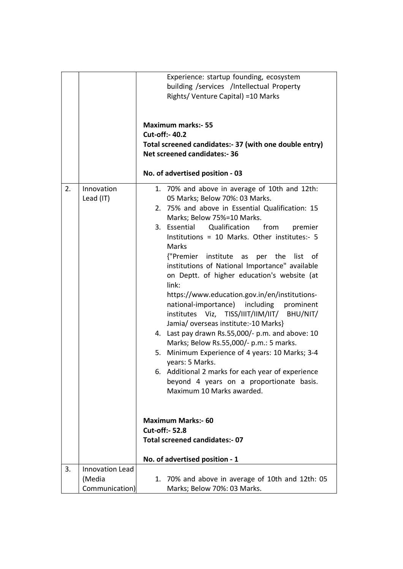|    |                        | Experience: startup founding, ecosystem                |
|----|------------------------|--------------------------------------------------------|
|    |                        | building /services /Intellectual Property              |
|    |                        | Rights/ Venture Capital) = 10 Marks                    |
|    |                        |                                                        |
|    |                        |                                                        |
|    |                        | <b>Maximum marks:- 55</b>                              |
|    |                        | <b>Cut-off:- 40.2</b>                                  |
|    |                        | Total screened candidates:- 37 (with one double entry) |
|    |                        | <b>Net screened candidates:- 36</b>                    |
|    |                        |                                                        |
|    |                        | No. of advertised position - 03                        |
| 2. | Innovation             | 1. 70% and above in average of 10th and 12th:          |
|    | Lead (IT)              | 05 Marks; Below 70%: 03 Marks.                         |
|    |                        | 2. 75% and above in Essential Qualification: 15        |
|    |                        | Marks; Below 75%=10 Marks.                             |
|    |                        | 3. Essential<br>Qualification<br>from<br>premier       |
|    |                        | Institutions = 10 Marks. Other institutes:- 5          |
|    |                        | <b>Marks</b>                                           |
|    |                        | {"Premier institute<br>as per the list of              |
|    |                        | institutions of National Importance" available         |
|    |                        | on Deptt. of higher education's website (at            |
|    |                        | link:                                                  |
|    |                        | https://www.education.gov.in/en/institutions-          |
|    |                        | national-importance)<br>including prominent            |
|    |                        | institutes Viz, TISS/IIIT/IIM/IIT/ BHU/NIT/            |
|    |                        | Jamia/overseas institute:-10 Marks}                    |
|    |                        | 4. Last pay drawn Rs.55,000/- p.m. and above: 10       |
|    |                        | Marks; Below Rs.55,000/- p.m.: 5 marks.                |
|    |                        | Minimum Experience of 4 years: 10 Marks; 3-4<br>5.     |
|    |                        | years: 5 Marks.                                        |
|    |                        | 6. Additional 2 marks for each year of experience      |
|    |                        | beyond 4 years on a proportionate basis.               |
|    |                        | Maximum 10 Marks awarded.                              |
|    |                        |                                                        |
|    |                        | <b>Maximum Marks:- 60</b>                              |
|    |                        | <b>Cut-off:- 52.8</b>                                  |
|    |                        | <b>Total screened candidates:- 07</b>                  |
|    |                        | No. of advertised position - 1                         |
| 3. | <b>Innovation Lead</b> |                                                        |
|    | (Media                 | 70% and above in average of 10th and 12th: 05<br>1.    |
|    | Communication)         | Marks; Below 70%: 03 Marks.                            |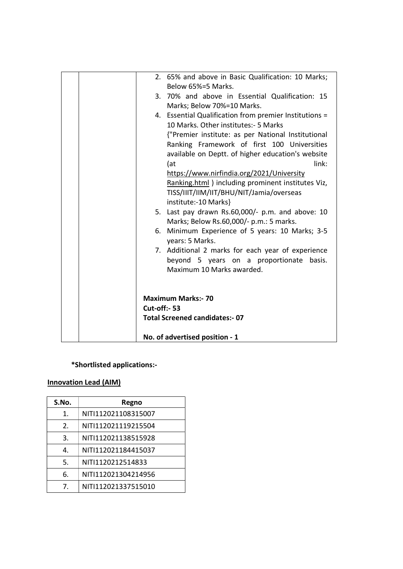|  |                     | 2. 65% and above in Basic Qualification: 10 Marks;     |
|--|---------------------|--------------------------------------------------------|
|  |                     | Below 65%=5 Marks.                                     |
|  |                     | 3. 70% and above in Essential Qualification: 15        |
|  |                     | Marks; Below 70%=10 Marks.                             |
|  |                     | 4. Essential Qualification from premier Institutions = |
|  |                     | 10 Marks. Other institutes: - 5 Marks                  |
|  |                     | {"Premier institute: as per National Institutional     |
|  |                     | Ranking Framework of first 100 Universities            |
|  |                     | available on Deptt. of higher education's website      |
|  |                     | link:<br>(at                                           |
|  |                     | https://www.nirfindia.org/2021/University              |
|  |                     | Ranking.html) including prominent institutes Viz,      |
|  |                     | TISS/IIIT/IIM/IIT/BHU/NIT/Jamia/overseas               |
|  |                     | institute:-10 Marks}                                   |
|  |                     | 5. Last pay drawn Rs.60,000/- p.m. and above: 10       |
|  |                     | Marks; Below Rs.60,000/- p.m.: 5 marks.                |
|  | 6.                  | Minimum Experience of 5 years: 10 Marks; 3-5           |
|  |                     | years: 5 Marks.                                        |
|  |                     | 7. Additional 2 marks for each year of experience      |
|  |                     | beyond 5 years on a proportionate<br>basis.            |
|  |                     | Maximum 10 Marks awarded.                              |
|  |                     |                                                        |
|  |                     |                                                        |
|  |                     | <b>Maximum Marks:- 70</b>                              |
|  | <b>Cut-off:- 53</b> |                                                        |
|  |                     | <b>Total Screened candidates:- 07</b>                  |
|  |                     |                                                        |
|  |                     | No. of advertised position - 1                         |

### \*Shortlisted applications:-

# Innovation Lead (AIM)

| S.No.                 | Regno               |
|-----------------------|---------------------|
| 1.                    | NITI112021108315007 |
| $\mathcal{P}_{\cdot}$ | NITI112021119215504 |
| 3.                    | NITI112021138515928 |
| 4.                    | NITI112021184415037 |
| 5.                    | NITI1120212514833   |
| 6.                    | NITI112021304214956 |
| 7.                    | NITI112021337515010 |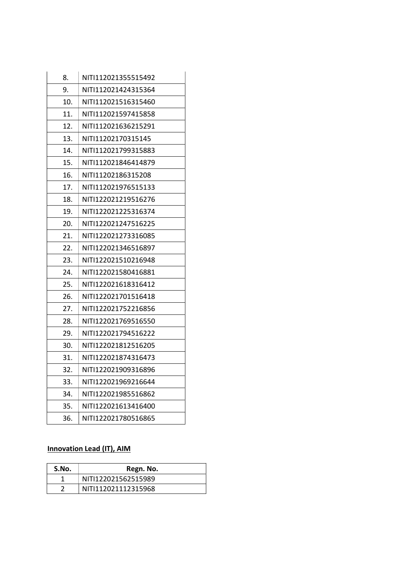| 8.  | NITI112021355515492 |
|-----|---------------------|
| 9.  | NITI112021424315364 |
| 10. | NITI112021516315460 |
| 11. | NITI112021597415858 |
| 12. | NITI112021636215291 |
| 13. | NITI11202170315145  |
| 14. | NITI112021799315883 |
| 15. | NITI112021846414879 |
| 16. | NITI11202186315208  |
| 17. | NITI112021976515133 |
| 18. | NITI122021219516276 |
| 19. | NITI122021225316374 |
| 20. | NITI122021247516225 |
| 21. | NITI122021273316085 |
| 22. | NITI122021346516897 |
| 23. | NITI122021510216948 |
| 24. | NITI122021580416881 |
| 25. | NITI122021618316412 |
| 26. | NITI122021701516418 |
| 27. | NITI122021752216856 |
| 28. | NITI122021769516550 |
| 29. | NITI122021794516222 |
| 30. | NITI122021812516205 |
| 31. | NITI122021874316473 |
| 32. | NITI122021909316896 |
| 33. | NITI122021969216644 |
| 34. | NITI122021985516862 |
| 35. | NITI122021613416400 |
| 36. | NITI122021780516865 |

## Innovation Lead (IT), AIM

| S.No. | Regn. No.           |
|-------|---------------------|
|       | NITI122021562515989 |
|       | NIT1112021112315968 |